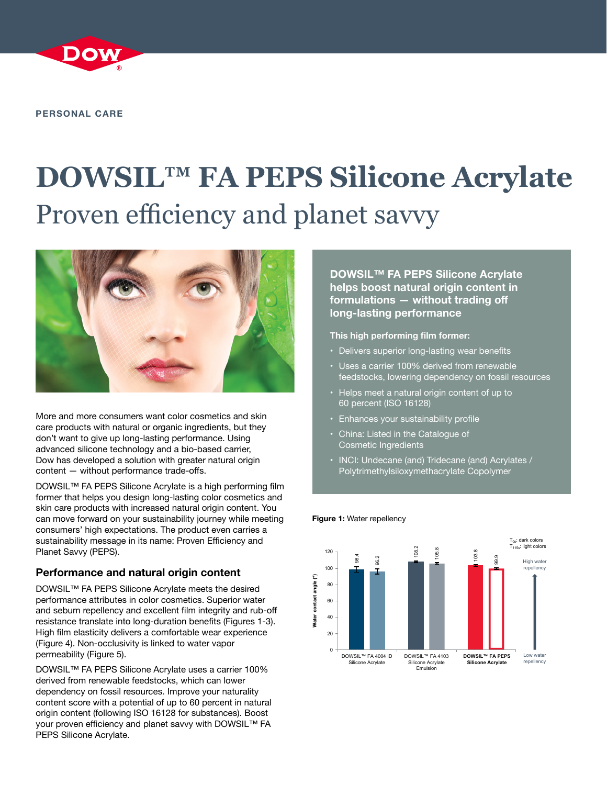

**PERSONAL CARE**

# **DOWSIL™ FA PEPS Silicone Acrylate** Proven efficiency and planet savvy



More and more consumers want color cosmetics and skin care products with natural or organic ingredients, but they don't want to give up long-lasting performance. Using advanced silicone technology and a bio-based carrier, Dow has developed a solution with greater natural origin content — without performance trade-offs.

DOWSIL™ FA PEPS Silicone Acrylate is a high performing film former that helps you design long-lasting color cosmetics and skin care products with increased natural origin content. You can move forward on your sustainability journey while meeting consumers' high expectations. The product even carries a sustainability message in its name: Proven Efficiency and Planet Savvy (PEPS).

# **Performance and natural origin content**

DOWSIL™ FA PEPS Silicone Acrylate meets the desired performance attributes in color cosmetics. Superior water and sebum repellency and excellent film integrity and rub-off resistance translate into long-duration benefits (Figures 1-3). High film elasticity delivers a comfortable wear experience (Figure 4). Non-occlusivity is linked to water vapor permeability (Figure 5).

DOWSIL™ FA PEPS Silicone Acrylate uses a carrier 100% derived from renewable feedstocks, which can lower dependency on fossil resources. Improve your naturality content score with a potential of up to 60 percent in natural origin content (following ISO 16128 for substances). Boost your proven efficiency and planet savvy with DOWSIL™ FA PEPS Silicone Acrylate.

**DOWSIL™ FA PEPS Silicone Acrylate helps boost natural origin content in formulations — without trading off long-lasting performance**

# **This high performing film former:**

- Delivers superior long-lasting wear benefits
- Uses a carrier 100% derived from renewable feedstocks, lowering dependency on fossil resources
- Helps meet a natural origin content of up to 60 percent (ISO 16128)
- Enhances your sustainability profile
- China: Listed in the Catalogue of Cosmetic Ingredients
- INCI: Undecane (and) Tridecane (and) Acrylates / Polytrimethylsiloxymethacrylate Copolymer

## **Figure 1:** Water repellency